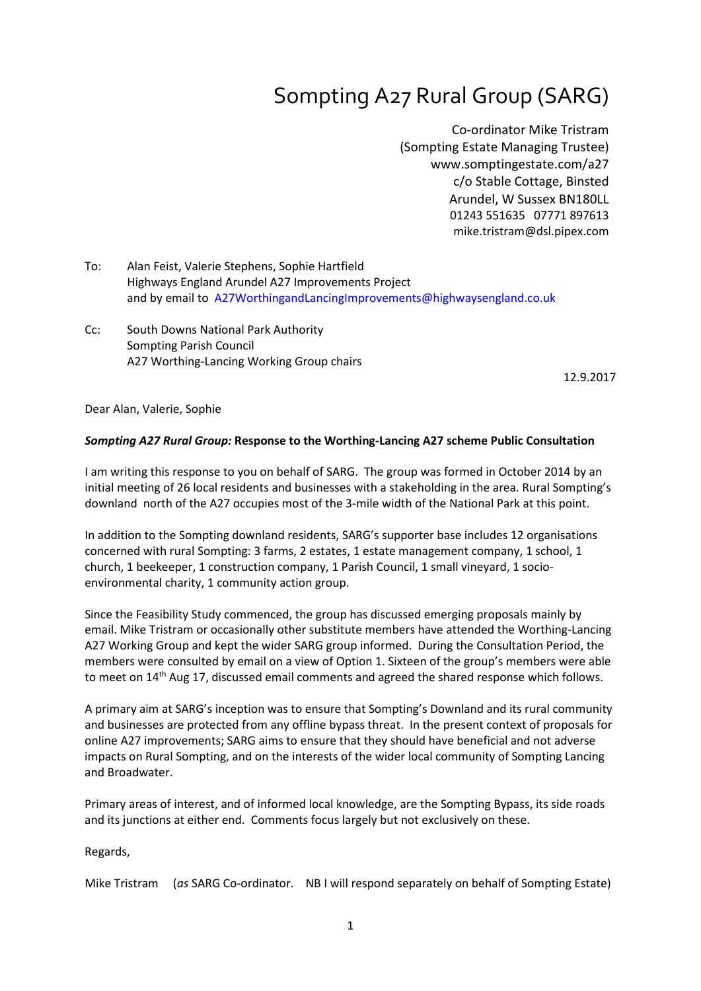# Sompting A27 Rural Group (SARG)

Co-ordinator Mike Tristram (Sompting Estate Managing Trustee) www.somptingestate.com/a27 c/o Stable Cottage, Binsted Arundel, W Sussex BN180LL 01243 551635 07771 897613 mike.tristram@dsl.pipex.com

- To: Alan Feist, Valerie Stephens, Sophie Hartfield Highways England Arundel A27 Improvements Project and by email to A27WorthingandLancingImprovements@highwaysengland.co.uk
- Cc: South Downs National Park Authority Sompting Parish Council A27 Worthing-Lancing Working Group chairs

12.9.2017

Dear Alan, Valerie, Sophie

### *Sompting A27 Rural Group:* **Response to the Worthing-Lancing A27 scheme Public Consultation**

I am writing this response to you on behalf of SARG. The group was formed in October 2014 by an initial meeting of 26 local residents and businesses with a stakeholding in the area. Rural Sompting's downland north of the A27 occupies most of the 3-mile width of the National Park at this point.

In addition to the Sompting downland residents, SARG's supporter base includes 12 organisations concerned with rural Sompting: 3 farms, 2 estates, 1 estate management company, 1 school, 1 church, 1 beekeeper, 1 construction company, 1 Parish Council, 1 small vineyard, 1 socioenvironmental charity, 1 community action group.

Since the Feasibility Study commenced, the group has discussed emerging proposals mainly by email. Mike Tristram or occasionally other substitute members have attended the Worthing-Lancing A27 Working Group and kept the wider SARG group informed. During the Consultation Period, the members were consulted by email on a view of Option 1. Sixteen of the group's members were able to meet on 14<sup>th</sup> Aug 17, discussed email comments and agreed the shared response which follows.

A primary aim at SARG's inception was to ensure that Sompting's Downland and its rural community and businesses are protected from any offline bypass threat. In the present context of proposals for online A27 improvements; SARG aims to ensure that they should have beneficial and not adverse impacts on Rural Sompting, and on the interests of the wider local community of Sompting Lancing and Broadwater.

Primary areas of interest, and of informed local knowledge, are the Sompting Bypass, its side roads and its junctions at either end. Comments focus largely but not exclusively on these.

Regards,

Mike Tristram (*as* SARG Co-ordinator. NB I will respond separately on behalf of Sompting Estate)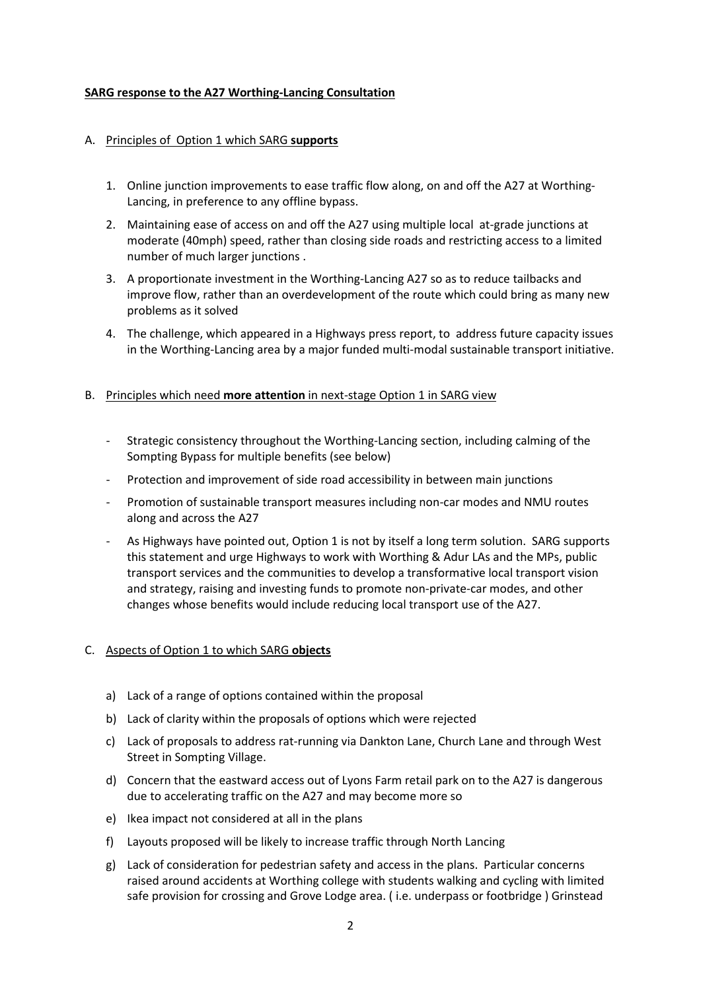## **SARG response to the A27 Worthing-Lancing Consultation**

## A. Principles of Option 1 which SARG **supports**

- 1. Online junction improvements to ease traffic flow along, on and off the A27 at Worthing-Lancing, in preference to any offline bypass.
- 2. Maintaining ease of access on and off the A27 using multiple local at-grade junctions at moderate (40mph) speed, rather than closing side roads and restricting access to a limited number of much larger junctions .
- 3. A proportionate investment in the Worthing-Lancing A27 so as to reduce tailbacks and improve flow, rather than an overdevelopment of the route which could bring as many new problems as it solved
- 4. The challenge, which appeared in a Highways press report, to address future capacity issues in the Worthing-Lancing area by a major funded multi-modal sustainable transport initiative.

### B. Principles which need **more attention** in next-stage Option 1 in SARG view

- Strategic consistency throughout the Worthing-Lancing section, including calming of the Sompting Bypass for multiple benefits (see below)
- Protection and improvement of side road accessibility in between main junctions
- Promotion of sustainable transport measures including non-car modes and NMU routes along and across the A27
- As Highways have pointed out, Option 1 is not by itself a long term solution. SARG supports this statement and urge Highways to work with Worthing & Adur LAs and the MPs, public transport services and the communities to develop a transformative local transport vision and strategy, raising and investing funds to promote non-private-car modes, and other changes whose benefits would include reducing local transport use of the A27.

### C. Aspects of Option 1 to which SARG **objects**

- a) Lack of a range of options contained within the proposal
- b) Lack of clarity within the proposals of options which were rejected
- c) Lack of proposals to address rat-running via Dankton Lane, Church Lane and through West Street in Sompting Village.
- d) Concern that the eastward access out of Lyons Farm retail park on to the A27 is dangerous due to accelerating traffic on the A27 and may become more so
- e) Ikea impact not considered at all in the plans
- f) Layouts proposed will be likely to increase traffic through North Lancing
- g) Lack of consideration for pedestrian safety and access in the plans. Particular concerns raised around accidents at Worthing college with students walking and cycling with limited safe provision for crossing and Grove Lodge area. ( i.e. underpass or footbridge ) Grinstead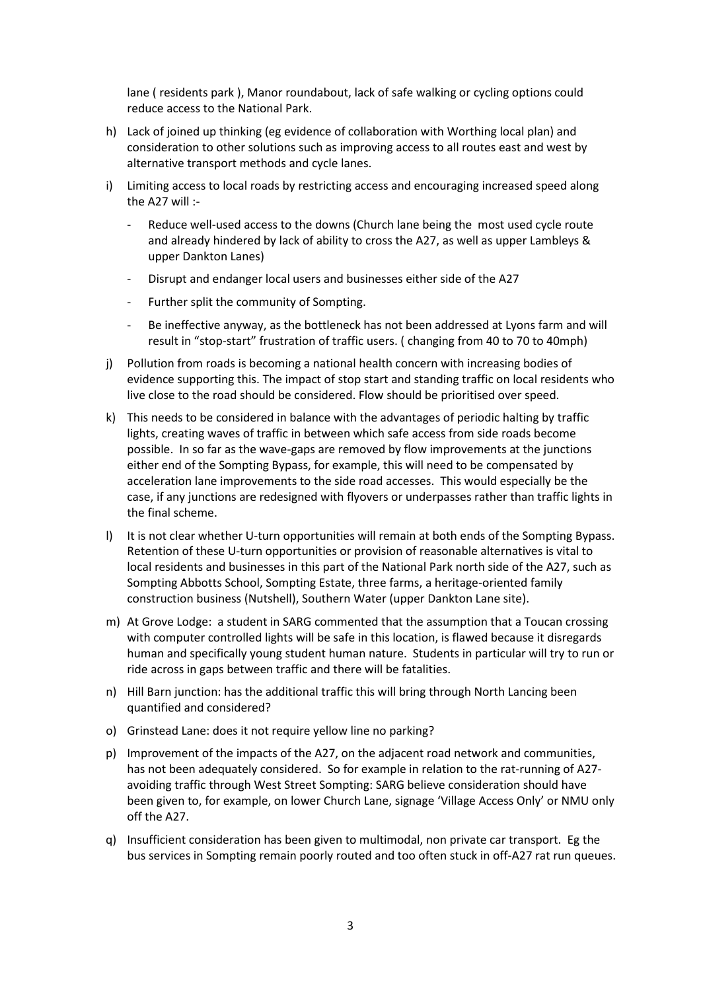lane ( residents park ), Manor roundabout, lack of safe walking or cycling options could reduce access to the National Park.

- h) Lack of joined up thinking (eg evidence of collaboration with Worthing local plan) and consideration to other solutions such as improving access to all routes east and west by alternative transport methods and cycle lanes.
- i) Limiting access to local roads by restricting access and encouraging increased speed along the A27 will :-
	- Reduce well-used access to the downs (Church lane being the most used cycle route and already hindered by lack of ability to cross the A27, as well as upper Lambleys & upper Dankton Lanes)
	- Disrupt and endanger local users and businesses either side of the A27
	- Further split the community of Sompting.
	- Be ineffective anyway, as the bottleneck has not been addressed at Lyons farm and will result in "stop-start" frustration of traffic users. ( changing from 40 to 70 to 40mph)
- j) Pollution from roads is becoming a national health concern with increasing bodies of evidence supporting this. The impact of stop start and standing traffic on local residents who live close to the road should be considered. Flow should be prioritised over speed.
- k) This needs to be considered in balance with the advantages of periodic halting by traffic lights, creating waves of traffic in between which safe access from side roads become possible. In so far as the wave-gaps are removed by flow improvements at the junctions either end of the Sompting Bypass, for example, this will need to be compensated by acceleration lane improvements to the side road accesses. This would especially be the case, if any junctions are redesigned with flyovers or underpasses rather than traffic lights in the final scheme.
- l) It is not clear whether U-turn opportunities will remain at both ends of the Sompting Bypass. Retention of these U-turn opportunities or provision of reasonable alternatives is vital to local residents and businesses in this part of the National Park north side of the A27, such as Sompting Abbotts School, Sompting Estate, three farms, a heritage-oriented family construction business (Nutshell), Southern Water (upper Dankton Lane site).
- m) At Grove Lodge: a student in SARG commented that the assumption that a Toucan crossing with computer controlled lights will be safe in this location, is flawed because it disregards human and specifically young student human nature. Students in particular will try to run or ride across in gaps between traffic and there will be fatalities.
- n) Hill Barn junction: has the additional traffic this will bring through North Lancing been quantified and considered?
- o) Grinstead Lane: does it not require yellow line no parking?
- p) Improvement of the impacts of the A27, on the adjacent road network and communities, has not been adequately considered. So for example in relation to the rat-running of A27 avoiding traffic through West Street Sompting: SARG believe consideration should have been given to, for example, on lower Church Lane, signage 'Village Access Only' or NMU only off the A27.
- q) Insufficient consideration has been given to multimodal, non private car transport. Eg the bus services in Sompting remain poorly routed and too often stuck in off-A27 rat run queues.